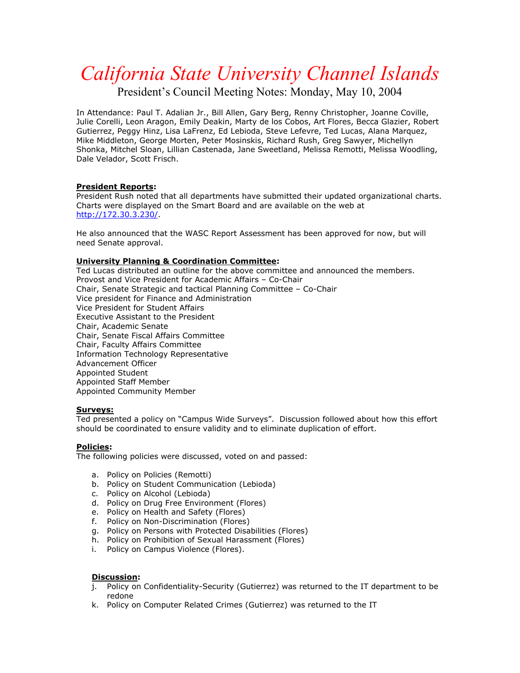# *California State University Channel Islands*

President's Council Meeting Notes: Monday, May 10, 2004

In Attendance: Paul T. Adalian Jr., Bill Allen, Gary Berg, Renny Christopher, Joanne Coville, Julie Corelli, Leon Aragon, Emily Deakin, Marty de los Cobos, Art Flores, Becca Glazier, Robert Gutierrez, Peggy Hinz, Lisa LaFrenz, Ed Lebioda, Steve Lefevre, Ted Lucas, Alana Marquez, Mike Middleton, George Morten, Peter Mosinskis, Richard Rush, Greg Sawyer, Michellyn Shonka, Mitchel Sloan, Lillian Castenada, Jane Sweetland, Melissa Remotti, Melissa Woodling, Dale Velador, Scott Frisch.

## **President Reports:**

President Rush noted that all departments have submitted their updated organizational charts. Charts were displayed on the Smart Board and are available on the web at http://172.30.3.230/.

He also announced that the WASC Report Assessment has been approved for now, but will need Senate approval.

## **University Planning & Coordination Committee:**

Ted Lucas distributed an outline for the above committee and announced the members. Provost and Vice President for Academic Affairs – Co-Chair Chair, Senate Strategic and tactical Planning Committee – Co-Chair Vice president for Finance and Administration Vice President for Student Affairs Executive Assistant to the President Chair, Academic Senate Chair, Senate Fiscal Affairs Committee Chair, Faculty Affairs Committee Information Technology Representative Advancement Officer Appointed Student Appointed Staff Member Appointed Community Member

#### **Surveys:**

Ted presented a policy on "Campus Wide Surveys". Discussion followed about how this effort should be coordinated to ensure validity and to eliminate duplication of effort.

#### **Policies:**

The following policies were discussed, voted on and passed:

- a. Policy on Policies (Remotti)
- b. Policy on Student Communication (Lebioda)
- c. Policy on Alcohol (Lebioda)
- d. Policy on Drug Free Environment (Flores)
- e. Policy on Health and Safety (Flores)
- f. Policy on Non-Discrimination (Flores)
- g. Policy on Persons with Protected Disabilities (Flores)
- h. Policy on Prohibition of Sexual Harassment (Flores)
- i. Policy on Campus Violence (Flores).

#### **Discussion:**

- j. Policy on Confidentiality-Security (Gutierrez) was returned to the IT department to be redone
- k. Policy on Computer Related Crimes (Gutierrez) was returned to the IT